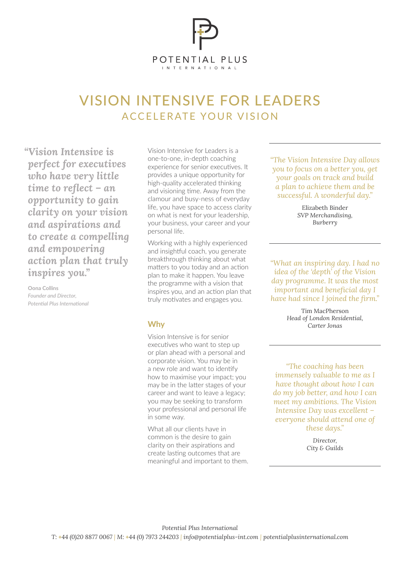

## VISION INTENSIVE FOR LEADERS ACCELERATE YOUR VISION

*"Vision Intensive is perfect for executives who have very little time to reflect – an opportunity to gain clarity on your vision and aspirations and to create a compelling and empowering action plan that truly inspires you."* 

**Oona Collins** *Founder and Director, Potential Plus International* Vision Intensive for Leaders is a one-to-one, in-depth coaching experience for senior executives. It provides a unique opportunity for high-quality accelerated thinking and visioning time. Away from the clamour and busy-ness of everyday life, you have space to access clarity on what is next for your leadership, your business, your career and your personal life.

Working with a highly experienced and insightful coach, you generate breakthrough thinking about what matters to you today and an action plan to make it happen. You leave the programme with a vision that inspires you, and an action plan that truly motivates and engages you.

## **Why**

Vision Intensive is for senior executives who want to step up or plan ahead with a personal and corporate vision. You may be in a new role and want to identify how to maximise your impact; you may be in the latter stages of your career and want to leave a legacy; you may be seeking to transform your professional and personal life in some way.

What all our clients have in common is the desire to gain clarity on their aspirations and create lasting outcomes that are meaningful and important to them. *"The Vision Intensive Day allows you to focus on a better you, get your goals on track and build a plan to achieve them and be successful. A wonderful day."*

> Elizabeth Binder *SVP Merchandising, Burberry*

*"What an inspiring day. I had no idea of the 'depth' of the Vision day programme. It was the most important and beneficial day I have had since I joined the firm."*

> Tim MacPherson *Head of London Residential, Carter Jonas*

*"The coaching has been immensely valuable to me as I have thought about how I can do my job better, and how I can meet my ambitions. The Vision Intensive Day was excellent – everyone should attend one of these days."*

> *Director, City & Guilds*